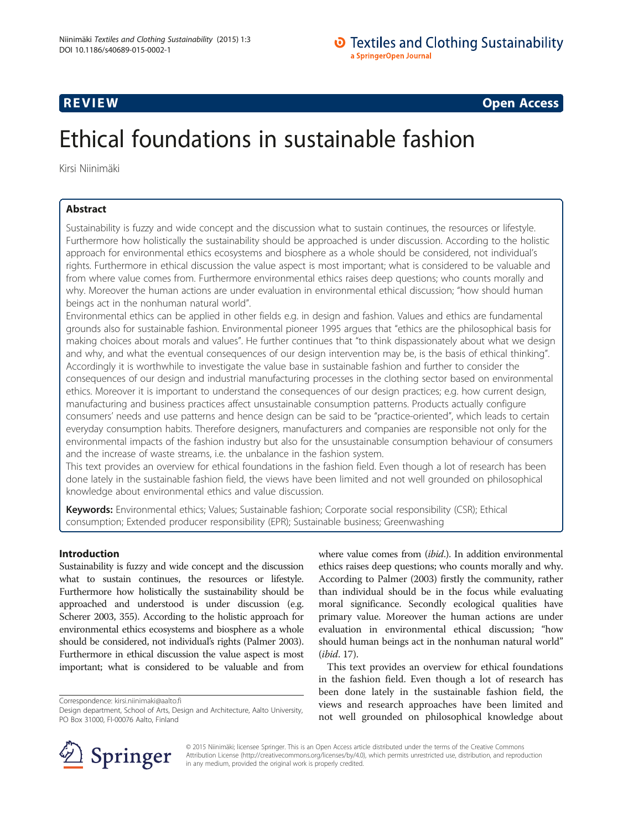# **O** Textiles and Clothing Sustainability a SpringerOpen Journal

**REVIEW CONSTRUCTION CONSTRUCTION CONSTRUCTS** 

# Ethical foundations in sustainable fashion

Kirsi Niinimäki

# Abstract

Sustainability is fuzzy and wide concept and the discussion what to sustain continues, the resources or lifestyle. Furthermore how holistically the sustainability should be approached is under discussion. According to the holistic approach for environmental ethics ecosystems and biosphere as a whole should be considered, not individual's rights. Furthermore in ethical discussion the value aspect is most important; what is considered to be valuable and from where value comes from. Furthermore environmental ethics raises deep questions; who counts morally and why. Moreover the human actions are under evaluation in environmental ethical discussion; "how should human beings act in the nonhuman natural world".

Environmental ethics can be applied in other fields e.g. in design and fashion. Values and ethics are fundamental grounds also for sustainable fashion. Environmental pioneer [1995](#page-10-0) argues that "ethics are the philosophical basis for making choices about morals and values". He further continues that "to think dispassionately about what we design and why, and what the eventual consequences of our design intervention may be, is the basis of ethical thinking". Accordingly it is worthwhile to investigate the value base in sustainable fashion and further to consider the consequences of our design and industrial manufacturing processes in the clothing sector based on environmental ethics. Moreover it is important to understand the consequences of our design practices; e.g. how current design, manufacturing and business practices affect unsustainable consumption patterns. Products actually configure consumers' needs and use patterns and hence design can be said to be "practice-oriented", which leads to certain everyday consumption habits. Therefore designers, manufacturers and companies are responsible not only for the environmental impacts of the fashion industry but also for the unsustainable consumption behaviour of consumers and the increase of waste streams, i.e. the unbalance in the fashion system.

This text provides an overview for ethical foundations in the fashion field. Even though a lot of research has been done lately in the sustainable fashion field, the views have been limited and not well grounded on philosophical knowledge about environmental ethics and value discussion.

Keywords: Environmental ethics; Values; Sustainable fashion; Corporate social responsibility (CSR); Ethical consumption; Extended producer responsibility (EPR); Sustainable business; Greenwashing

## Introduction

Sustainability is fuzzy and wide concept and the discussion what to sustain continues, the resources or lifestyle. Furthermore how holistically the sustainability should be approached and understood is under discussion (e.g. Scherer [2003,](#page-10-0) 355). According to the holistic approach for environmental ethics ecosystems and biosphere as a whole should be considered, not individual's rights (Palmer [2003](#page-10-0)). Furthermore in ethical discussion the value aspect is most important; what is considered to be valuable and from

Correspondence: [kirsi.niinimaki@aalto.fi](mailto:kirsi.niinimaki@aalto.fi)

where value comes from (ibid.). In addition environmental ethics raises deep questions; who counts morally and why. According to Palmer ([2003\)](#page-10-0) firstly the community, rather than individual should be in the focus while evaluating moral significance. Secondly ecological qualities have primary value. Moreover the human actions are under evaluation in environmental ethical discussion; "how should human beings act in the nonhuman natural world" (ibid. 17).

This text provides an overview for ethical foundations in the fashion field. Even though a lot of research has been done lately in the sustainable fashion field, the views and research approaches have been limited and not well grounded on philosophical knowledge about



© 2015 Niinimäki; licensee Springer. This is an Open Access article distributed under the terms of the Creative Commons Attribution License [\(http://creativecommons.org/licenses/by/4.0\)](http://creativecommons.org/licenses/by/4.0), which permits unrestricted use, distribution, and reproduction in any medium, provided the original work is properly credited.

Design department, School of Arts, Design and Architecture, Aalto University, PO Box 31000, FI-00076 Aalto, Finland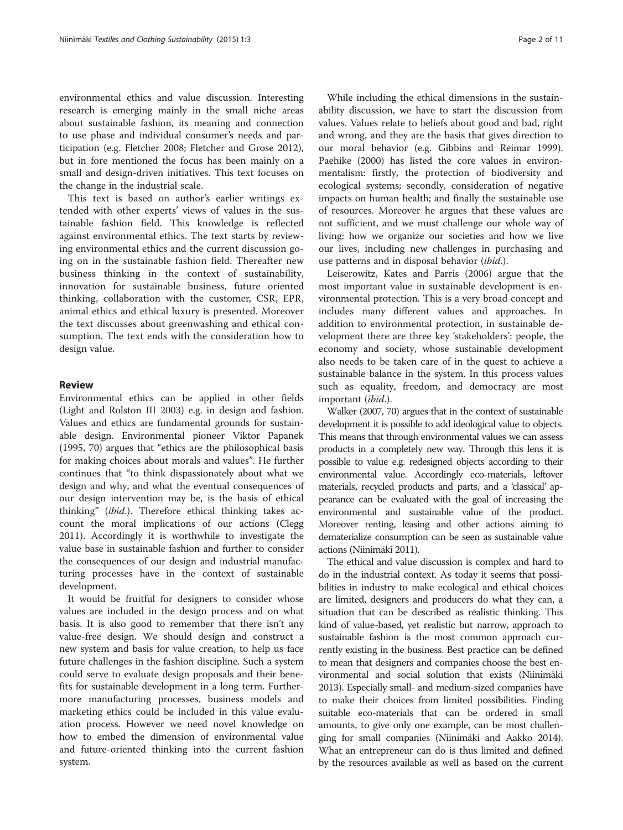environmental ethics and value discussion. Interesting research is emerging mainly in the small niche areas about sustainable fashion, its meaning and connection to use phase and individual consumer's needs and participation (e.g. Fletcher [2008;](#page-9-0) Fletcher and Grose [2012](#page-9-0)), but in fore mentioned the focus has been mainly on a small and design-driven initiatives. This text focuses on the change in the industrial scale.

This text is based on author's earlier writings extended with other experts' views of values in the sustainable fashion field. This knowledge is reflected against environmental ethics. The text starts by reviewing environmental ethics and the current discussion going on in the sustainable fashion field. Thereafter new business thinking in the context of sustainability, innovation for sustainable business, future oriented thinking, collaboration with the customer, CSR, EPR, animal ethics and ethical luxury is presented. Moreover the text discusses about greenwashing and ethical consumption. The text ends with the consideration how to design value.

#### Review

Environmental ethics can be applied in other fields (Light and Rolston III [2003\)](#page-10-0) e.g. in design and fashion. Values and ethics are fundamental grounds for sustainable design. Environmental pioneer Viktor Papanek ([1995](#page-10-0), 70) argues that "ethics are the philosophical basis for making choices about morals and values". He further continues that "to think dispassionately about what we design and why, and what the eventual consequences of our design intervention may be, is the basis of ethical thinking" (ibid.). Therefore ethical thinking takes account the moral implications of our actions (Clegg [2011](#page-9-0)). Accordingly it is worthwhile to investigate the value base in sustainable fashion and further to consider the consequences of our design and industrial manufacturing processes have in the context of sustainable development.

It would be fruitful for designers to consider whose values are included in the design process and on what basis. It is also good to remember that there isn't any value-free design. We should design and construct a new system and basis for value creation, to help us face future challenges in the fashion discipline. Such a system could serve to evaluate design proposals and their benefits for sustainable development in a long term. Furthermore manufacturing processes, business models and marketing ethics could be included in this value evaluation process. However we need novel knowledge on how to embed the dimension of environmental value and future-oriented thinking into the current fashion system.

While including the ethical dimensions in the sustainability discussion, we have to start the discussion from values. Values relate to beliefs about good and bad, right and wrong, and they are the basis that gives direction to our moral behavior (e.g. Gibbins and Reimar [1999](#page-9-0)). Paehike ([2000](#page-10-0)) has listed the core values in environmentalism: firstly, the protection of biodiversity and ecological systems; secondly, consideration of negative impacts on human health; and finally the sustainable use of resources. Moreover he argues that these values are not sufficient, and we must challenge our whole way of living: how we organize our societies and how we live our lives, including new challenges in purchasing and use patterns and in disposal behavior (ibid.).

Leiserowitz, Kates and Parris ([2006](#page-9-0)) argue that the most important value in sustainable development is environmental protection. This is a very broad concept and includes many different values and approaches. In addition to environmental protection, in sustainable development there are three key 'stakeholders': people, the economy and society, whose sustainable development also needs to be taken care of in the quest to achieve a sustainable balance in the system. In this process values such as equality, freedom, and democracy are most important (ibid.).

Walker ([2007](#page-10-0), 70) argues that in the context of sustainable development it is possible to add ideological value to objects. This means that through environmental values we can assess products in a completely new way. Through this lens it is possible to value e.g. redesigned objects according to their environmental value. Accordingly eco-materials, leftover materials, recycled products and parts, and a 'classical' appearance can be evaluated with the goal of increasing the environmental and sustainable value of the product. Moreover renting, leasing and other actions aiming to dematerialize consumption can be seen as sustainable value actions (Niinimäki [2011](#page-10-0)).

The ethical and value discussion is complex and hard to do in the industrial context. As today it seems that possibilities in industry to make ecological and ethical choices are limited, designers and producers do what they can, a situation that can be described as realistic thinking. This kind of value-based, yet realistic but narrow, approach to sustainable fashion is the most common approach currently existing in the business. Best practice can be defined to mean that designers and companies choose the best environmental and social solution that exists (Niinimäki [2013\)](#page-10-0). Especially small- and medium-sized companies have to make their choices from limited possibilities. Finding suitable eco-materials that can be ordered in small amounts, to give only one example, can be most challenging for small companies (Niinimäki and Aakko [2014](#page-10-0)). What an entrepreneur can do is thus limited and defined by the resources available as well as based on the current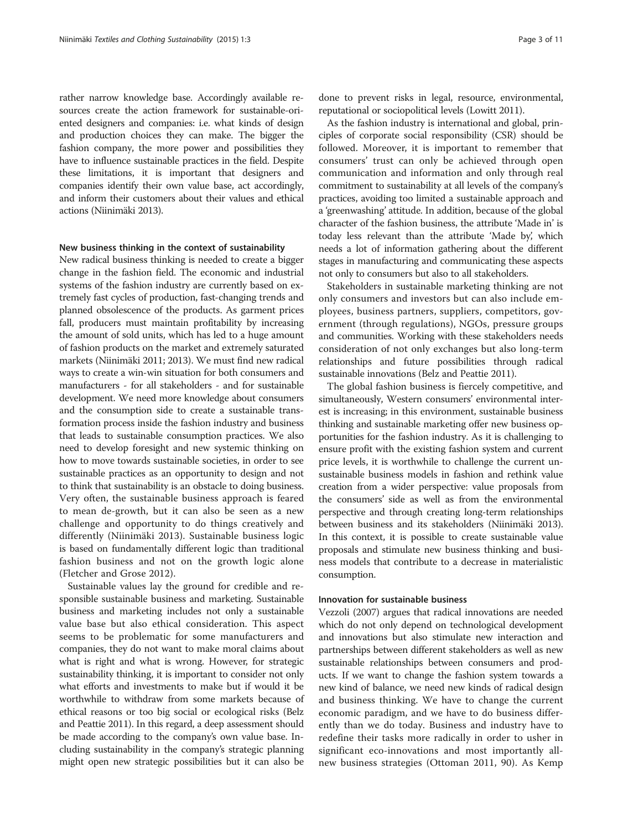rather narrow knowledge base. Accordingly available resources create the action framework for sustainable-oriented designers and companies: i.e. what kinds of design and production choices they can make. The bigger the fashion company, the more power and possibilities they have to influence sustainable practices in the field. Despite these limitations, it is important that designers and companies identify their own value base, act accordingly, and inform their customers about their values and ethical actions (Niinimäki [2013](#page-10-0)).

#### New business thinking in the context of sustainability

New radical business thinking is needed to create a bigger change in the fashion field. The economic and industrial systems of the fashion industry are currently based on extremely fast cycles of production, fast-changing trends and planned obsolescence of the products. As garment prices fall, producers must maintain profitability by increasing the amount of sold units, which has led to a huge amount of fashion products on the market and extremely saturated markets (Niinimäki [2011; 2013\)](#page-10-0). We must find new radical ways to create a win-win situation for both consumers and manufacturers - for all stakeholders - and for sustainable development. We need more knowledge about consumers and the consumption side to create a sustainable transformation process inside the fashion industry and business that leads to sustainable consumption practices. We also need to develop foresight and new systemic thinking on how to move towards sustainable societies, in order to see sustainable practices as an opportunity to design and not to think that sustainability is an obstacle to doing business. Very often, the sustainable business approach is feared to mean de-growth, but it can also be seen as a new challenge and opportunity to do things creatively and differently (Niinimäki [2013\)](#page-10-0). Sustainable business logic is based on fundamentally different logic than traditional fashion business and not on the growth logic alone (Fletcher and Grose [2012](#page-9-0)).

Sustainable values lay the ground for credible and responsible sustainable business and marketing. Sustainable business and marketing includes not only a sustainable value base but also ethical consideration. This aspect seems to be problematic for some manufacturers and companies, they do not want to make moral claims about what is right and what is wrong. However, for strategic sustainability thinking, it is important to consider not only what efforts and investments to make but if would it be worthwhile to withdraw from some markets because of ethical reasons or too big social or ecological risks (Belz and Peattie [2011\)](#page-9-0). In this regard, a deep assessment should be made according to the company's own value base. Including sustainability in the company's strategic planning might open new strategic possibilities but it can also be

done to prevent risks in legal, resource, environmental, reputational or sociopolitical levels (Lowitt [2011\)](#page-10-0).

As the fashion industry is international and global, principles of corporate social responsibility (CSR) should be followed. Moreover, it is important to remember that consumers' trust can only be achieved through open communication and information and only through real commitment to sustainability at all levels of the company's practices, avoiding too limited a sustainable approach and a 'greenwashing' attitude. In addition, because of the global character of the fashion business, the attribute 'Made in' is today less relevant than the attribute 'Made by', which needs a lot of information gathering about the different stages in manufacturing and communicating these aspects not only to consumers but also to all stakeholders.

Stakeholders in sustainable marketing thinking are not only consumers and investors but can also include employees, business partners, suppliers, competitors, government (through regulations), NGOs, pressure groups and communities. Working with these stakeholders needs consideration of not only exchanges but also long-term relationships and future possibilities through radical sustainable innovations (Belz and Peattie [2011\)](#page-9-0).

The global fashion business is fiercely competitive, and simultaneously, Western consumers' environmental interest is increasing; in this environment, sustainable business thinking and sustainable marketing offer new business opportunities for the fashion industry. As it is challenging to ensure profit with the existing fashion system and current price levels, it is worthwhile to challenge the current unsustainable business models in fashion and rethink value creation from a wider perspective: value proposals from the consumers' side as well as from the environmental perspective and through creating long-term relationships between business and its stakeholders (Niinimäki [2013](#page-10-0)). In this context, it is possible to create sustainable value proposals and stimulate new business thinking and business models that contribute to a decrease in materialistic consumption.

#### Innovation for sustainable business

Vezzoli ([2007\)](#page-10-0) argues that radical innovations are needed which do not only depend on technological development and innovations but also stimulate new interaction and partnerships between different stakeholders as well as new sustainable relationships between consumers and products. If we want to change the fashion system towards a new kind of balance, we need new kinds of radical design and business thinking. We have to change the current economic paradigm, and we have to do business differently than we do today. Business and industry have to redefine their tasks more radically in order to usher in significant eco-innovations and most importantly allnew business strategies (Ottoman [2011,](#page-10-0) 90). As Kemp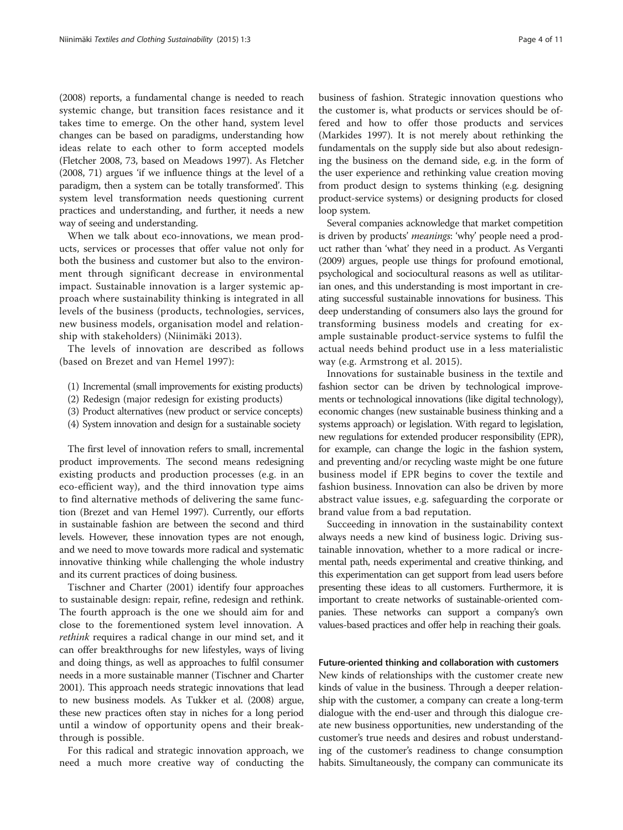([2008\)](#page-9-0) reports, a fundamental change is needed to reach systemic change, but transition faces resistance and it takes time to emerge. On the other hand, system level changes can be based on paradigms, understanding how ideas relate to each other to form accepted models (Fletcher [2008,](#page-9-0) 73, based on Meadows 1997). As Fletcher ([2008,](#page-9-0) 71) argues 'if we influence things at the level of a paradigm, then a system can be totally transformed'. This system level transformation needs questioning current practices and understanding, and further, it needs a new way of seeing and understanding.

When we talk about eco-innovations, we mean products, services or processes that offer value not only for both the business and customer but also to the environment through significant decrease in environmental impact. Sustainable innovation is a larger systemic approach where sustainability thinking is integrated in all levels of the business (products, technologies, services, new business models, organisation model and relationship with stakeholders) (Niinimäki [2013\)](#page-10-0).

The levels of innovation are described as follows (based on Brezet and van Hemel [1997](#page-9-0)):

- (1) Incremental (small improvements for existing products)
- (2) Redesign (major redesign for existing products)
- (3) Product alternatives (new product or service concepts)
- (4) System innovation and design for a sustainable society

The first level of innovation refers to small, incremental product improvements. The second means redesigning existing products and production processes (e.g. in an eco-efficient way), and the third innovation type aims to find alternative methods of delivering the same function (Brezet and van Hemel [1997](#page-9-0)). Currently, our efforts in sustainable fashion are between the second and third levels. However, these innovation types are not enough, and we need to move towards more radical and systematic innovative thinking while challenging the whole industry and its current practices of doing business.

Tischner and Charter [\(2001\)](#page-10-0) identify four approaches to sustainable design: repair, refine, redesign and rethink. The fourth approach is the one we should aim for and close to the forementioned system level innovation. A rethink requires a radical change in our mind set, and it can offer breakthroughs for new lifestyles, ways of living and doing things, as well as approaches to fulfil consumer needs in a more sustainable manner (Tischner and Charter [2001\)](#page-10-0). This approach needs strategic innovations that lead to new business models. As Tukker et al. [\(2008\)](#page-10-0) argue, these new practices often stay in niches for a long period until a window of opportunity opens and their breakthrough is possible.

For this radical and strategic innovation approach, we need a much more creative way of conducting the

business of fashion. Strategic innovation questions who the customer is, what products or services should be offered and how to offer those products and services (Markides [1997](#page-10-0)). It is not merely about rethinking the fundamentals on the supply side but also about redesigning the business on the demand side, e.g. in the form of the user experience and rethinking value creation moving from product design to systems thinking (e.g. designing product-service systems) or designing products for closed loop system.

Several companies acknowledge that market competition is driven by products' *meanings*: 'why' people need a product rather than 'what' they need in a product. As Verganti ([2009\)](#page-10-0) argues, people use things for profound emotional, psychological and sociocultural reasons as well as utilitarian ones, and this understanding is most important in creating successful sustainable innovations for business. This deep understanding of consumers also lays the ground for transforming business models and creating for example sustainable product-service systems to fulfil the actual needs behind product use in a less materialistic way (e.g. Armstrong et al. [2015\)](#page-9-0).

Innovations for sustainable business in the textile and fashion sector can be driven by technological improvements or technological innovations (like digital technology), economic changes (new sustainable business thinking and a systems approach) or legislation. With regard to legislation, new regulations for extended producer responsibility (EPR), for example, can change the logic in the fashion system, and preventing and/or recycling waste might be one future business model if EPR begins to cover the textile and fashion business. Innovation can also be driven by more abstract value issues, e.g. safeguarding the corporate or brand value from a bad reputation.

Succeeding in innovation in the sustainability context always needs a new kind of business logic. Driving sustainable innovation, whether to a more radical or incremental path, needs experimental and creative thinking, and this experimentation can get support from lead users before presenting these ideas to all customers. Furthermore, it is important to create networks of sustainable-oriented companies. These networks can support a company's own values-based practices and offer help in reaching their goals.

#### Future-oriented thinking and collaboration with customers

New kinds of relationships with the customer create new kinds of value in the business. Through a deeper relationship with the customer, a company can create a long-term dialogue with the end-user and through this dialogue create new business opportunities, new understanding of the customer's true needs and desires and robust understanding of the customer's readiness to change consumption habits. Simultaneously, the company can communicate its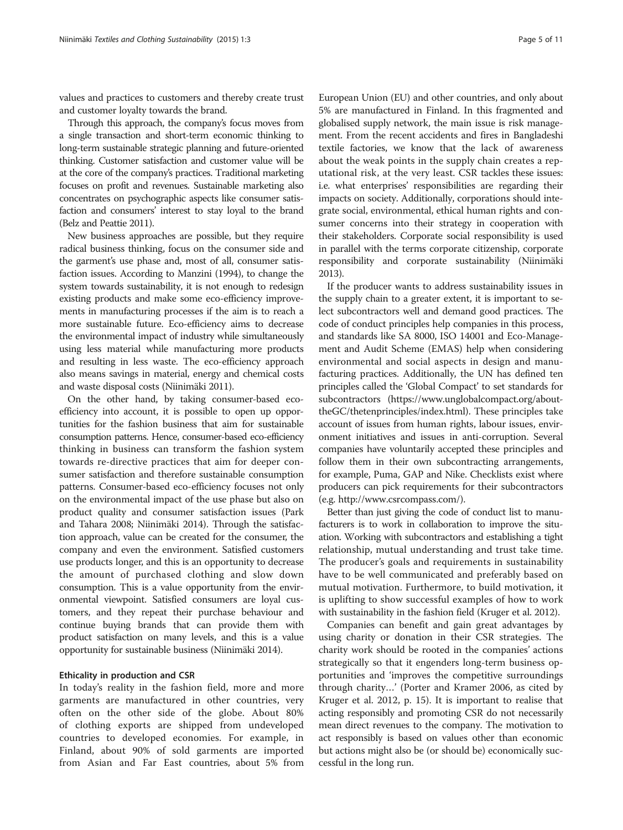values and practices to customers and thereby create trust and customer loyalty towards the brand.

Through this approach, the company's focus moves from a single transaction and short-term economic thinking to long-term sustainable strategic planning and future-oriented thinking. Customer satisfaction and customer value will be at the core of the company's practices. Traditional marketing focuses on profit and revenues. Sustainable marketing also concentrates on psychographic aspects like consumer satisfaction and consumers' interest to stay loyal to the brand (Belz and Peattie [2011\)](#page-9-0).

New business approaches are possible, but they require radical business thinking, focus on the consumer side and the garment's use phase and, most of all, consumer satisfaction issues. According to Manzini ([1994\)](#page-10-0), to change the system towards sustainability, it is not enough to redesign existing products and make some eco-efficiency improvements in manufacturing processes if the aim is to reach a more sustainable future. Eco-efficiency aims to decrease the environmental impact of industry while simultaneously using less material while manufacturing more products and resulting in less waste. The eco-efficiency approach also means savings in material, energy and chemical costs and waste disposal costs (Niinimäki [2011\)](#page-10-0).

On the other hand, by taking consumer-based ecoefficiency into account, it is possible to open up opportunities for the fashion business that aim for sustainable consumption patterns. Hence, consumer-based eco-efficiency thinking in business can transform the fashion system towards re-directive practices that aim for deeper consumer satisfaction and therefore sustainable consumption patterns. Consumer-based eco-efficiency focuses not only on the environmental impact of the use phase but also on product quality and consumer satisfaction issues (Park and Tahara [2008;](#page-10-0) Niinimäki [2014](#page-10-0)). Through the satisfaction approach, value can be created for the consumer, the company and even the environment. Satisfied customers use products longer, and this is an opportunity to decrease the amount of purchased clothing and slow down consumption. This is a value opportunity from the environmental viewpoint. Satisfied consumers are loyal customers, and they repeat their purchase behaviour and continue buying brands that can provide them with product satisfaction on many levels, and this is a value opportunity for sustainable business (Niinimäki [2014](#page-10-0)).

### Ethicality in production and CSR

In today's reality in the fashion field, more and more garments are manufactured in other countries, very often on the other side of the globe. About 80% of clothing exports are shipped from undeveloped countries to developed economies. For example, in Finland, about 90% of sold garments are imported from Asian and Far East countries, about 5% from

European Union (EU) and other countries, and only about 5% are manufactured in Finland. In this fragmented and globalised supply network, the main issue is risk management. From the recent accidents and fires in Bangladeshi textile factories, we know that the lack of awareness about the weak points in the supply chain creates a reputational risk, at the very least. CSR tackles these issues: i.e. what enterprises' responsibilities are regarding their impacts on society. Additionally, corporations should integrate social, environmental, ethical human rights and consumer concerns into their strategy in cooperation with their stakeholders. Corporate social responsibility is used in parallel with the terms corporate citizenship, corporate responsibility and corporate sustainability (Niinimäki [2013](#page-10-0)).

If the producer wants to address sustainability issues in the supply chain to a greater extent, it is important to select subcontractors well and demand good practices. The code of conduct principles help companies in this process, and standards like SA 8000, ISO 14001 and Eco-Management and Audit Scheme (EMAS) help when considering environmental and social aspects in design and manufacturing practices. Additionally, the UN has defined ten principles called the 'Global Compact' to set standards for subcontractors ([https://www.unglobalcompact.org/about](https://www.unglobalcompact.org/abouttheGC/thetenprinciples/index.html)[theGC/thetenprinciples/index.html\)](https://www.unglobalcompact.org/abouttheGC/thetenprinciples/index.html). These principles take account of issues from human rights, labour issues, environment initiatives and issues in anti-corruption. Several companies have voluntarily accepted these principles and follow them in their own subcontracting arrangements, for example, Puma, GAP and Nike. Checklists exist where producers can pick requirements for their subcontractors (e.g.<http://www.csrcompass.com/>).

Better than just giving the code of conduct list to manufacturers is to work in collaboration to improve the situation. Working with subcontractors and establishing a tight relationship, mutual understanding and trust take time. The producer's goals and requirements in sustainability have to be well communicated and preferably based on mutual motivation. Furthermore, to build motivation, it is uplifting to show successful examples of how to work with sustainability in the fashion field (Kruger et al. [2012](#page-9-0)).

Companies can benefit and gain great advantages by using charity or donation in their CSR strategies. The charity work should be rooted in the companies' actions strategically so that it engenders long-term business opportunities and 'improves the competitive surroundings through charity…' (Porter and Kramer 2006, as cited by Kruger et al. [2012](#page-9-0), p. 15). It is important to realise that acting responsibly and promoting CSR do not necessarily mean direct revenues to the company. The motivation to act responsibly is based on values other than economic but actions might also be (or should be) economically successful in the long run.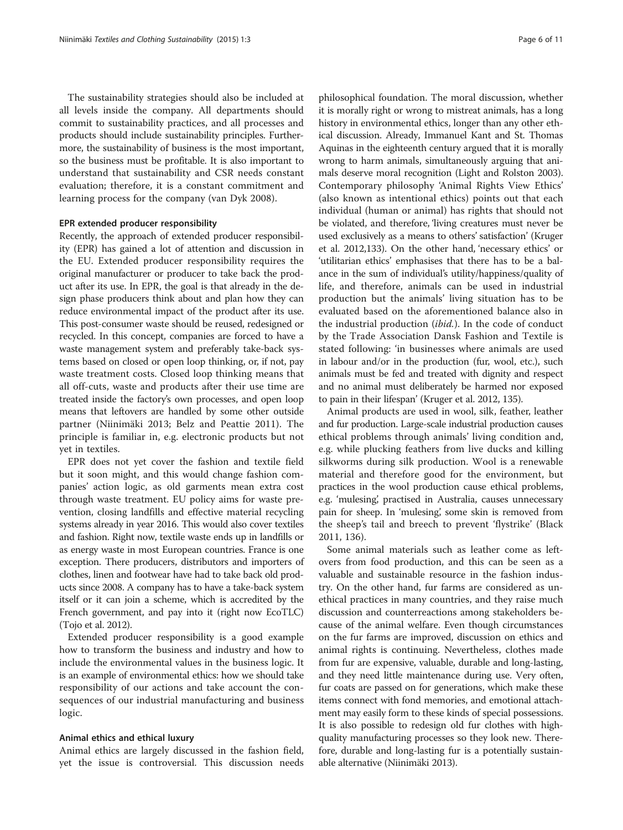The sustainability strategies should also be included at all levels inside the company. All departments should commit to sustainability practices, and all processes and products should include sustainability principles. Furthermore, the sustainability of business is the most important, so the business must be profitable. It is also important to understand that sustainability and CSR needs constant evaluation; therefore, it is a constant commitment and learning process for the company (van Dyk [2008\)](#page-10-0).

#### EPR extended producer responsibility

Recently, the approach of extended producer responsibility (EPR) has gained a lot of attention and discussion in the EU. Extended producer responsibility requires the original manufacturer or producer to take back the product after its use. In EPR, the goal is that already in the design phase producers think about and plan how they can reduce environmental impact of the product after its use. This post-consumer waste should be reused, redesigned or recycled. In this concept, companies are forced to have a waste management system and preferably take-back systems based on closed or open loop thinking, or, if not, pay waste treatment costs. Closed loop thinking means that all off-cuts, waste and products after their use time are treated inside the factory's own processes, and open loop means that leftovers are handled by some other outside partner (Niinimäki [2013;](#page-10-0) Belz and Peattie [2011\)](#page-9-0). The principle is familiar in, e.g. electronic products but not yet in textiles.

EPR does not yet cover the fashion and textile field but it soon might, and this would change fashion companies' action logic, as old garments mean extra cost through waste treatment. EU policy aims for waste prevention, closing landfills and effective material recycling systems already in year 2016. This would also cover textiles and fashion. Right now, textile waste ends up in landfills or as energy waste in most European countries. France is one exception. There producers, distributors and importers of clothes, linen and footwear have had to take back old products since 2008. A company has to have a take-back system itself or it can join a scheme, which is accredited by the French government, and pay into it (right now EcoTLC) (Tojo et al. [2012](#page-10-0)).

Extended producer responsibility is a good example how to transform the business and industry and how to include the environmental values in the business logic. It is an example of environmental ethics: how we should take responsibility of our actions and take account the consequences of our industrial manufacturing and business logic.

#### Animal ethics and ethical luxury

Animal ethics are largely discussed in the fashion field, yet the issue is controversial. This discussion needs

philosophical foundation. The moral discussion, whether it is morally right or wrong to mistreat animals, has a long history in environmental ethics, longer than any other ethical discussion. Already, Immanuel Kant and St. Thomas Aquinas in the eighteenth century argued that it is morally wrong to harm animals, simultaneously arguing that animals deserve moral recognition (Light and Rolston [2003](#page-9-0)). Contemporary philosophy 'Animal Rights View Ethics' (also known as intentional ethics) points out that each individual (human or animal) has rights that should not be violated, and therefore, 'living creatures must never be used exclusively as a means to others' satisfaction' (Kruger et al. [2012](#page-9-0),133). On the other hand, 'necessary ethics' or 'utilitarian ethics' emphasises that there has to be a balance in the sum of individual's utility/happiness/quality of life, and therefore, animals can be used in industrial production but the animals' living situation has to be evaluated based on the aforementioned balance also in the industrial production (ibid.). In the code of conduct by the Trade Association Dansk Fashion and Textile is stated following: 'in businesses where animals are used in labour and/or in the production (fur, wool, etc.), such animals must be fed and treated with dignity and respect and no animal must deliberately be harmed nor exposed to pain in their lifespan' (Kruger et al. [2012](#page-9-0), 135).

Animal products are used in wool, silk, feather, leather and fur production. Large-scale industrial production causes ethical problems through animals' living condition and, e.g. while plucking feathers from live ducks and killing silkworms during silk production. Wool is a renewable material and therefore good for the environment, but practices in the wool production cause ethical problems, e.g. 'mulesing', practised in Australia, causes unnecessary pain for sheep. In 'mulesing', some skin is removed from the sheep's tail and breech to prevent 'flystrike' (Black [2011,](#page-9-0) 136).

Some animal materials such as leather come as leftovers from food production, and this can be seen as a valuable and sustainable resource in the fashion industry. On the other hand, fur farms are considered as unethical practices in many countries, and they raise much discussion and counterreactions among stakeholders because of the animal welfare. Even though circumstances on the fur farms are improved, discussion on ethics and animal rights is continuing. Nevertheless, clothes made from fur are expensive, valuable, durable and long-lasting, and they need little maintenance during use. Very often, fur coats are passed on for generations, which make these items connect with fond memories, and emotional attachment may easily form to these kinds of special possessions. It is also possible to redesign old fur clothes with highquality manufacturing processes so they look new. Therefore, durable and long-lasting fur is a potentially sustainable alternative (Niinimäki [2013](#page-10-0)).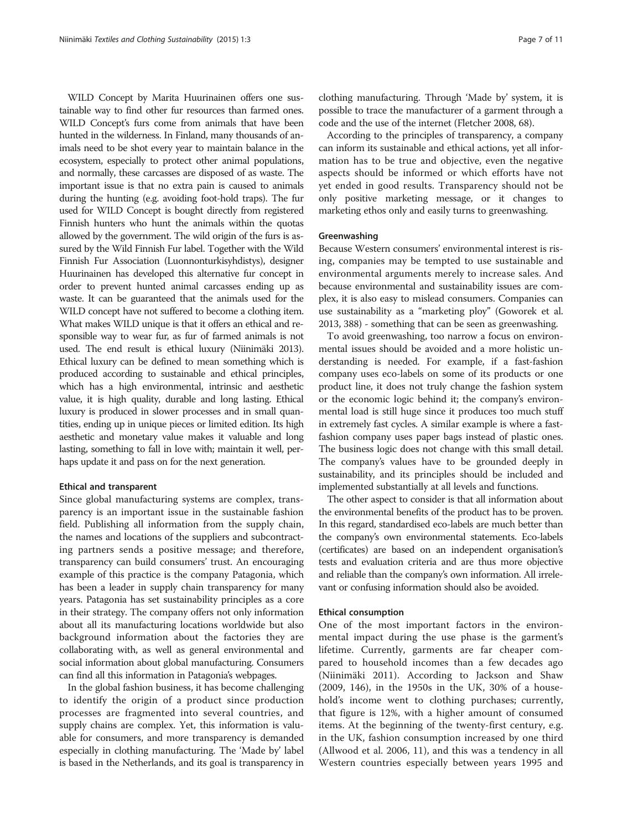WILD Concept by Marita Huurinainen offers one sustainable way to find other fur resources than farmed ones. WILD Concept's furs come from animals that have been hunted in the wilderness. In Finland, many thousands of animals need to be shot every year to maintain balance in the ecosystem, especially to protect other animal populations, and normally, these carcasses are disposed of as waste. The important issue is that no extra pain is caused to animals during the hunting (e.g. avoiding foot-hold traps). The fur used for WILD Concept is bought directly from registered Finnish hunters who hunt the animals within the quotas allowed by the government. The wild origin of the furs is assured by the Wild Finnish Fur label. Together with the Wild Finnish Fur Association (Luonnonturkisyhdistys), designer Huurinainen has developed this alternative fur concept in order to prevent hunted animal carcasses ending up as waste. It can be guaranteed that the animals used for the WILD concept have not suffered to become a clothing item. What makes WILD unique is that it offers an ethical and responsible way to wear fur, as fur of farmed animals is not used. The end result is ethical luxury (Niinimäki [2013](#page-10-0)). Ethical luxury can be defined to mean something which is produced according to sustainable and ethical principles, which has a high environmental, intrinsic and aesthetic value, it is high quality, durable and long lasting. Ethical luxury is produced in slower processes and in small quantities, ending up in unique pieces or limited edition. Its high aesthetic and monetary value makes it valuable and long lasting, something to fall in love with; maintain it well, perhaps update it and pass on for the next generation.

#### Ethical and transparent

Since global manufacturing systems are complex, transparency is an important issue in the sustainable fashion field. Publishing all information from the supply chain, the names and locations of the suppliers and subcontracting partners sends a positive message; and therefore, transparency can build consumers' trust. An encouraging example of this practice is the company Patagonia, which has been a leader in supply chain transparency for many years. Patagonia has set sustainability principles as a core in their strategy. The company offers not only information about all its manufacturing locations worldwide but also background information about the factories they are collaborating with, as well as general environmental and social information about global manufacturing. Consumers can find all this information in Patagonia's webpages.

In the global fashion business, it has become challenging to identify the origin of a product since production processes are fragmented into several countries, and supply chains are complex. Yet, this information is valuable for consumers, and more transparency is demanded especially in clothing manufacturing. The 'Made by' label is based in the Netherlands, and its goal is transparency in

clothing manufacturing. Through 'Made by' system, it is possible to trace the manufacturer of a garment through a code and the use of the internet (Fletcher [2008](#page-9-0), 68).

According to the principles of transparency, a company can inform its sustainable and ethical actions, yet all information has to be true and objective, even the negative aspects should be informed or which efforts have not yet ended in good results. Transparency should not be only positive marketing message, or it changes to marketing ethos only and easily turns to greenwashing.

#### Greenwashing

Because Western consumers' environmental interest is rising, companies may be tempted to use sustainable and environmental arguments merely to increase sales. And because environmental and sustainability issues are complex, it is also easy to mislead consumers. Companies can use sustainability as a "marketing ploy" (Goworek et al. [2013](#page-9-0), 388) - something that can be seen as greenwashing.

To avoid greenwashing, too narrow a focus on environmental issues should be avoided and a more holistic understanding is needed. For example, if a fast-fashion company uses eco-labels on some of its products or one product line, it does not truly change the fashion system or the economic logic behind it; the company's environmental load is still huge since it produces too much stuff in extremely fast cycles. A similar example is where a fastfashion company uses paper bags instead of plastic ones. The business logic does not change with this small detail. The company's values have to be grounded deeply in sustainability, and its principles should be included and implemented substantially at all levels and functions.

The other aspect to consider is that all information about the environmental benefits of the product has to be proven. In this regard, standardised eco-labels are much better than the company's own environmental statements. Eco-labels (certificates) are based on an independent organisation's tests and evaluation criteria and are thus more objective and reliable than the company's own information. All irrelevant or confusing information should also be avoided.

#### Ethical consumption

One of the most important factors in the environmental impact during the use phase is the garment's lifetime. Currently, garments are far cheaper compared to household incomes than a few decades ago (Niinimäki [2011\)](#page-10-0). According to Jackson and Shaw ([2009,](#page-9-0) 146), in the 1950s in the UK, 30% of a household's income went to clothing purchases; currently, that figure is 12%, with a higher amount of consumed items. At the beginning of the twenty-first century, e.g. in the UK, fashion consumption increased by one third (Allwood et al. [2006,](#page-9-0) 11), and this was a tendency in all Western countries especially between years 1995 and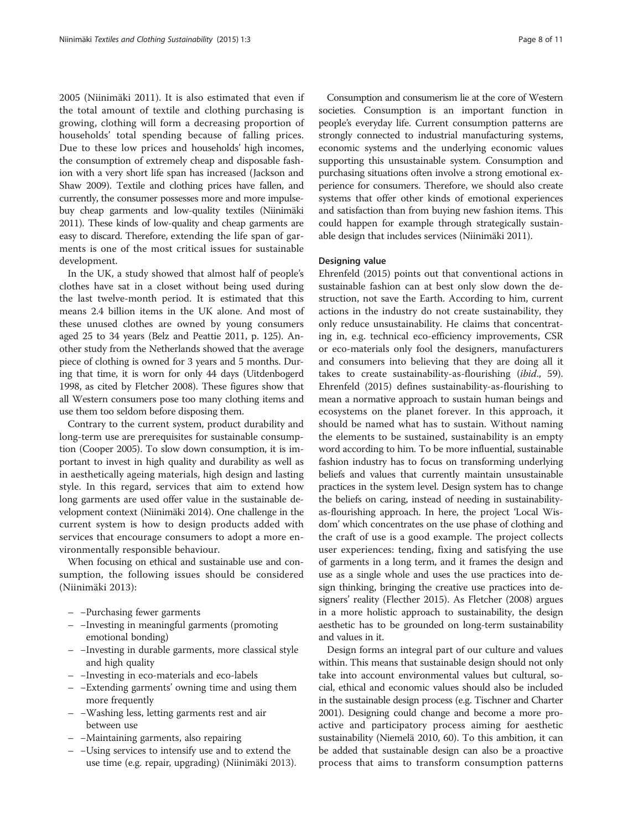2005 (Niinimäki [2011\)](#page-10-0). It is also estimated that even if the total amount of textile and clothing purchasing is growing, clothing will form a decreasing proportion of households' total spending because of falling prices. Due to these low prices and households' high incomes, the consumption of extremely cheap and disposable fashion with a very short life span has increased (Jackson and Shaw [2009\)](#page-9-0). Textile and clothing prices have fallen, and currently, the consumer possesses more and more impulsebuy cheap garments and low-quality textiles (Niinimäki [2011\)](#page-10-0). These kinds of low-quality and cheap garments are easy to discard. Therefore, extending the life span of garments is one of the most critical issues for sustainable development.

In the UK, a study showed that almost half of people's clothes have sat in a closet without being used during the last twelve-month period. It is estimated that this means 2.4 billion items in the UK alone. And most of these unused clothes are owned by young consumers aged 25 to 34 years (Belz and Peattie [2011](#page-9-0), p. 125). Another study from the Netherlands showed that the average piece of clothing is owned for 3 years and 5 months. During that time, it is worn for only 44 days (Uitdenbogerd 1998, as cited by Fletcher [2008](#page-9-0)). These figures show that all Western consumers pose too many clothing items and use them too seldom before disposing them.

Contrary to the current system, product durability and long-term use are prerequisites for sustainable consumption (Cooper [2005\)](#page-9-0). To slow down consumption, it is important to invest in high quality and durability as well as in aesthetically ageing materials, high design and lasting style. In this regard, services that aim to extend how long garments are used offer value in the sustainable development context (Niinimäki [2014](#page-10-0)). One challenge in the current system is how to design products added with services that encourage consumers to adopt a more environmentally responsible behaviour.

When focusing on ethical and sustainable use and consumption, the following issues should be considered (Niinimäki [2013](#page-10-0)):

- −Purchasing fewer garments
- −Investing in meaningful garments (promoting emotional bonding)
- −Investing in durable garments, more classical style and high quality
- −Investing in eco-materials and eco-labels
- −Extending garments' owning time and using them more frequently
- −Washing less, letting garments rest and air between use
- −Maintaining garments, also repairing
- −Using services to intensify use and to extend the use time (e.g. repair, upgrading) (Niinimäki [2013](#page-10-0)).

Consumption and consumerism lie at the core of Western societies. Consumption is an important function in people's everyday life. Current consumption patterns are strongly connected to industrial manufacturing systems, economic systems and the underlying economic values supporting this unsustainable system. Consumption and purchasing situations often involve a strong emotional experience for consumers. Therefore, we should also create systems that offer other kinds of emotional experiences and satisfaction than from buying new fashion items. This could happen for example through strategically sustainable design that includes services (Niinimäki [2011](#page-10-0)).

#### Designing value

Ehrenfeld ([2015](#page-9-0)) points out that conventional actions in sustainable fashion can at best only slow down the destruction, not save the Earth. According to him, current actions in the industry do not create sustainability, they only reduce unsustainability. He claims that concentrating in, e.g. technical eco-efficiency improvements, CSR or eco-materials only fool the designers, manufacturers and consumers into believing that they are doing all it takes to create sustainability-as-flourishing (ibid., 59). Ehrenfeld ([2015\)](#page-9-0) defines sustainability-as-flourishing to mean a normative approach to sustain human beings and ecosystems on the planet forever. In this approach, it should be named what has to sustain. Without naming the elements to be sustained, sustainability is an empty word according to him. To be more influential, sustainable fashion industry has to focus on transforming underlying beliefs and values that currently maintain unsustainable practices in the system level. Design system has to change the beliefs on caring, instead of needing in sustainabilityas-flourishing approach. In here, the project 'Local Wisdom' which concentrates on the use phase of clothing and the craft of use is a good example. The project collects user experiences: tending, fixing and satisfying the use of garments in a long term, and it frames the design and use as a single whole and uses the use practices into design thinking, bringing the creative use practices into designers' reality (Flecther [2015\)](#page-9-0). As Fletcher ([2008\)](#page-9-0) argues in a more holistic approach to sustainability, the design aesthetic has to be grounded on long-term sustainability and values in it.

Design forms an integral part of our culture and values within. This means that sustainable design should not only take into account environmental values but cultural, social, ethical and economic values should also be included in the sustainable design process (e.g. Tischner and Charter [2001\)](#page-10-0). Designing could change and become a more proactive and participatory process aiming for aesthetic sustainability (Niemelä [2010,](#page-10-0) 60). To this ambition, it can be added that sustainable design can also be a proactive process that aims to transform consumption patterns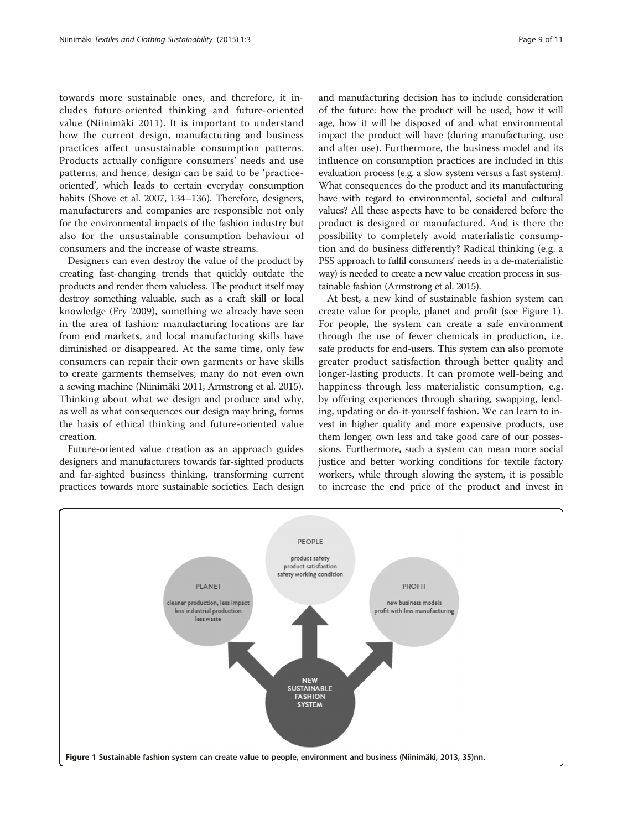towards more sustainable ones, and therefore, it includes future-oriented thinking and future-oriented value (Niinimäki [2011\)](#page-10-0). It is important to understand how the current design, manufacturing and business practices affect unsustainable consumption patterns. Products actually configure consumers' needs and use patterns, and hence, design can be said to be 'practiceoriented', which leads to certain everyday consumption habits (Shove et al. [2007](#page-10-0), 134–136). Therefore, designers, manufacturers and companies are responsible not only for the environmental impacts of the fashion industry but also for the unsustainable consumption behaviour of consumers and the increase of waste streams.

Designers can even destroy the value of the product by creating fast-changing trends that quickly outdate the products and render them valueless. The product itself may destroy something valuable, such as a craft skill or local knowledge (Fry [2009](#page-9-0)), something we already have seen in the area of fashion: manufacturing locations are far from end markets, and local manufacturing skills have diminished or disappeared. At the same time, only few consumers can repair their own garments or have skills to create garments themselves; many do not even own a sewing machine (Niinimäki [2011;](#page-10-0) Armstrong et al. [2015](#page-9-0)). Thinking about what we design and produce and why, as well as what consequences our design may bring, forms the basis of ethical thinking and future-oriented value creation.

Future-oriented value creation as an approach guides designers and manufacturers towards far-sighted products and far-sighted business thinking, transforming current practices towards more sustainable societies. Each design

and manufacturing decision has to include consideration of the future: how the product will be used, how it will age, how it will be disposed of and what environmental impact the product will have (during manufacturing, use and after use). Furthermore, the business model and its influence on consumption practices are included in this evaluation process (e.g. a slow system versus a fast system). What consequences do the product and its manufacturing have with regard to environmental, societal and cultural values? All these aspects have to be considered before the product is designed or manufactured. And is there the possibility to completely avoid materialistic consumption and do business differently? Radical thinking (e.g. a PSS approach to fulfil consumers' needs in a de-materialistic way) is needed to create a new value creation process in sustainable fashion (Armstrong et al. [2015](#page-9-0)).

At best, a new kind of sustainable fashion system can create value for people, planet and profit (see Figure 1). For people, the system can create a safe environment through the use of fewer chemicals in production, i.e. safe products for end-users. This system can also promote greater product satisfaction through better quality and longer-lasting products. It can promote well-being and happiness through less materialistic consumption, e.g. by offering experiences through sharing, swapping, lending, updating or do-it-yourself fashion. We can learn to invest in higher quality and more expensive products, use them longer, own less and take good care of our possessions. Furthermore, such a system can mean more social justice and better working conditions for textile factory workers, while through slowing the system, it is possible to increase the end price of the product and invest in

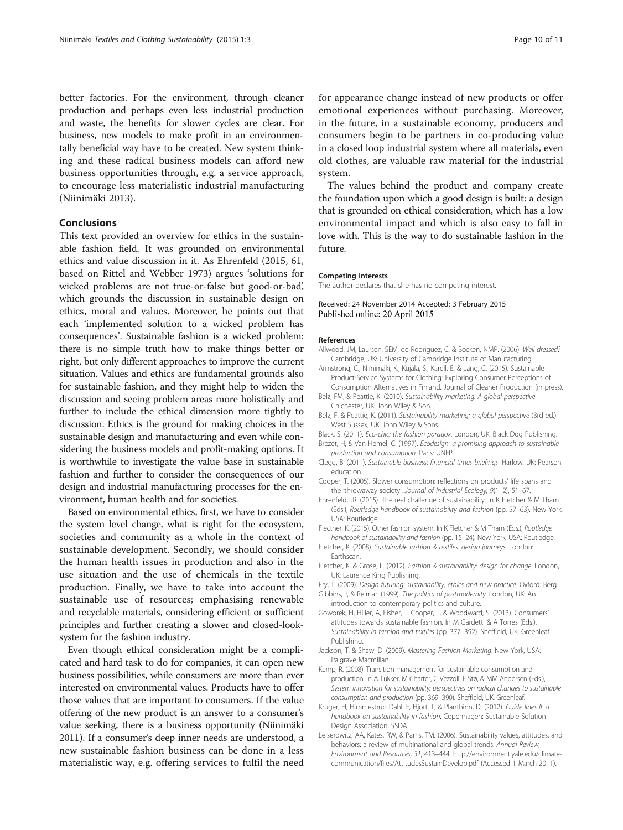<span id="page-9-0"></span>better factories. For the environment, through cleaner production and perhaps even less industrial production and waste, the benefits for slower cycles are clear. For business, new models to make profit in an environmentally beneficial way have to be created. New system thinking and these radical business models can afford new business opportunities through, e.g. a service approach, to encourage less materialistic industrial manufacturing (Niinimäki [2013](#page-10-0)).

### Conclusions

This text provided an overview for ethics in the sustainable fashion field. It was grounded on environmental ethics and value discussion in it. As Ehrenfeld (2015, 61, based on Rittel and Webber 1973) argues 'solutions for wicked problems are not true-or-false but good-or-bad', which grounds the discussion in sustainable design on ethics, moral and values. Moreover, he points out that each 'implemented solution to a wicked problem has consequences'. Sustainable fashion is a wicked problem: there is no simple truth how to make things better or right, but only different approaches to improve the current situation. Values and ethics are fundamental grounds also for sustainable fashion, and they might help to widen the discussion and seeing problem areas more holistically and further to include the ethical dimension more tightly to discussion. Ethics is the ground for making choices in the sustainable design and manufacturing and even while considering the business models and profit-making options. It is worthwhile to investigate the value base in sustainable fashion and further to consider the consequences of our design and industrial manufacturing processes for the environment, human health and for societies.

Based on environmental ethics, first, we have to consider the system level change, what is right for the ecosystem, societies and community as a whole in the context of sustainable development. Secondly, we should consider the human health issues in production and also in the use situation and the use of chemicals in the textile production. Finally, we have to take into account the sustainable use of resources; emphasising renewable and recyclable materials, considering efficient or sufficient principles and further creating a slower and closed-looksystem for the fashion industry.

Even though ethical consideration might be a complicated and hard task to do for companies, it can open new business possibilities, while consumers are more than ever interested on environmental values. Products have to offer those values that are important to consumers. If the value offering of the new product is an answer to a consumer's value seeking, there is a business opportunity (Niinimäki [2011\)](#page-10-0). If a consumer's deep inner needs are understood, a new sustainable fashion business can be done in a less materialistic way, e.g. offering services to fulfil the need

for appearance change instead of new products or offer emotional experiences without purchasing. Moreover, in the future, in a sustainable economy, producers and consumers begin to be partners in co-producing value in a closed loop industrial system where all materials, even old clothes, are valuable raw material for the industrial system.

The values behind the product and company create the foundation upon which a good design is built: a design that is grounded on ethical consideration, which has a low environmental impact and which is also easy to fall in love with. This is the way to do sustainable fashion in the future.

#### Competing interests

The author declares that she has no competing interest.

Received: 24 November 2014 Accepted: 3 February 2015 Published online: 20 April 2015

#### References

- Allwood, JM, Laursen, SEM, de Rodriguez, C, & Bocken, NMP. (2006). Well dressed? Cambridge, UK: University of Cambridge Institute of Manufacturing.
- Armstrong, C., Niinimäki, K., Kujala, S., Karell, E. & Lang, C. (2015). Sustainable Product-Service Systems for Clothing: Exploring Consumer Perceptions of Consumption Alternatives in Finland. Journal of Cleaner Production (in press).
- Belz, FM, & Peattie, K. (2010). Sustainability marketing. A global perspective. Chichester, UK: John Wiley & Son.
- Belz, F, & Peattie, K. (2011). Sustainability marketing: a global perspective (3rd ed.). West Sussex, UK: John Wiley & Sons.
- Black, S. (2011). Eco-chic: the fashion paradox. London, UK: Black Dog Publishing. Brezet, H, & Van Hemel, C. (1997). Ecodesign: a promising approach to sustainable production and consumption. Paris: UNEP.
- Clegg, B. (2011). Sustainable business: financial times briefings. Harlow, UK: Pearson education.
- Cooper, T. (2005). Slower consumption: reflections on products' life spans and the 'throwaway society'. Journal of Industrial Ecology, 9(1–2), 51–67.
- Ehrenfeld, JR. (2015). The real challenge of sustainability. In K Fletcher & M Tham (Eds.), Routledge handbook of sustainability and fashion (pp. 57–63). New York, USA: Routledge.
- Flecther, K. (2015). Other fashion system. In K Fletcher & M Tham (Eds.), Routledge handbook of sustainability and fashion (pp. 15–24). New York, USA: Routledge.
- Fletcher, K. (2008). Sustainable fashion & textiles: design journeys. London: Earthscan.
- Fletcher, K, & Grose, L. (2012). Fashion & sustainability: design for change. London, UK: Laurence King Publishing.
- Fry, T. (2009). Design futuring: sustainability, ethics and new practice. Oxford: Berg. Gibbins, J, & Reimar. (1999). The politics of postmodernity. London, UK: An introduction to contemporary politics and culture.
- Goworek, H, Hiller, A, Fisher, T, Cooper, T, & Woodward, S. (2013). Consumers' attitudes towards sustainable fashion. In M Gardetti & A Torres (Eds.), Sustainability in fashion and textiles (pp. 377–392). Sheffield, UK: Greenleaf Publishing.
- Jackson, T, & Shaw, D. (2009). Mastering Fashion Marketing. New York, USA: Palgrave Macmillan.
- Kemp, R. (2008). Transition management for sustainable consumption and production. In A Tukker, M Charter, C Vezzoli, E Stø, & MM Andersen (Eds.), System innovation for sustainability: perspectives on radical changes to sustainable consumption and production (pp. 369–390). Sheffield, UK: Greenleaf.
- Kruger, H, Himmestrup Dahl, E, Hjort, T, & Planthinn, D. (2012). Guide lines II: a handbook on sustainability in fashion. Copenhagen: Sustainable Solution Design Association, SSDA.
- Leiserowitz, AA, Kates, RW, & Parris, TM. (2006). Sustainability values, attitudes, and behaviors: a review of multinational and global trends. Annual Review, Environment and Resources, 31, 413–444. http://environment.yale.edu/climatecommunication/files/AttitudesSustainDevelop.pdf (Accessed 1 March 2011).